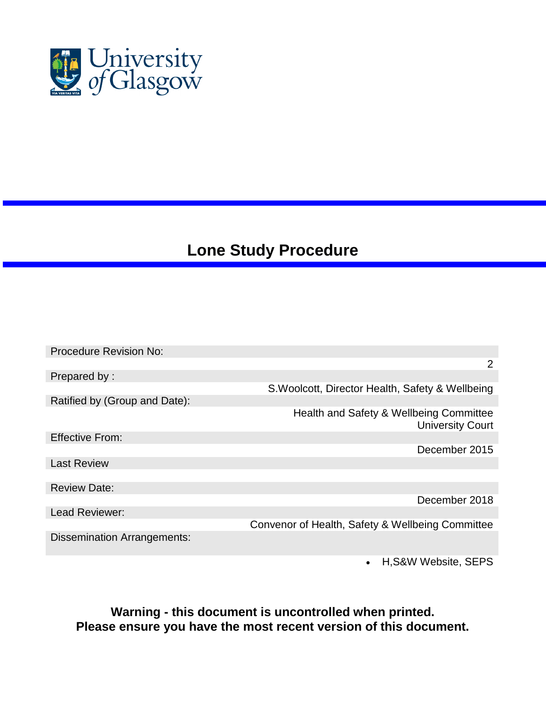

# **Lone Study Procedure**

| <b>Procedure Revision No:</b>      |                                                                    |
|------------------------------------|--------------------------------------------------------------------|
|                                    | $\overline{2}$                                                     |
| Prepared by:                       |                                                                    |
|                                    | S. Woolcott, Director Health, Safety & Wellbeing                   |
| Ratified by (Group and Date):      |                                                                    |
|                                    | Health and Safety & Wellbeing Committee<br><b>University Court</b> |
| <b>Effective From:</b>             |                                                                    |
|                                    | December 2015                                                      |
| <b>Last Review</b>                 |                                                                    |
|                                    |                                                                    |
| <b>Review Date:</b>                |                                                                    |
|                                    | December 2018                                                      |
| Lead Reviewer:                     |                                                                    |
|                                    | Convenor of Health, Safety & Wellbeing Committee                   |
| <b>Dissemination Arrangements:</b> |                                                                    |

H,S&W Website, SEPS

**Warning - this document is uncontrolled when printed. Please ensure you have the most recent version of this document.**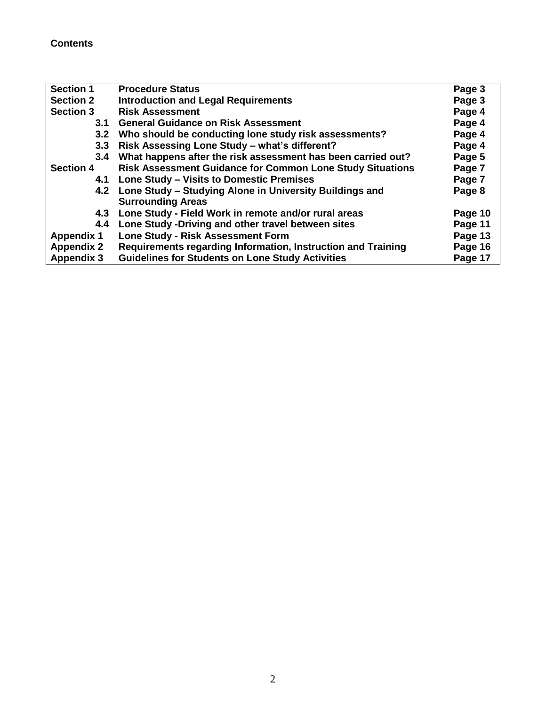# **Contents**

| <b>Section 1</b>  | <b>Procedure Status</b>                                          | Page 3  |
|-------------------|------------------------------------------------------------------|---------|
| <b>Section 2</b>  | <b>Introduction and Legal Requirements</b>                       | Page 3  |
| <b>Section 3</b>  | <b>Risk Assessment</b>                                           | Page 4  |
| 3.1               | <b>General Guidance on Risk Assessment</b>                       | Page 4  |
| 3.2               | Who should be conducting lone study risk assessments?            | Page 4  |
| 3.3 <sub>2</sub>  | Risk Assessing Lone Study - what's different?                    | Page 4  |
| 3.4               | What happens after the risk assessment has been carried out?     | Page 5  |
| <b>Section 4</b>  | <b>Risk Assessment Guidance for Common Lone Study Situations</b> | Page 7  |
|                   | 4.1 Lone Study – Visits to Domestic Premises                     | Page 7  |
|                   | 4.2 Lone Study – Studying Alone in University Buildings and      | Page 8  |
|                   | <b>Surrounding Areas</b>                                         |         |
|                   | 4.3 Lone Study - Field Work in remote and/or rural areas         | Page 10 |
| 4.4               | Lone Study - Driving and other travel between sites              | Page 11 |
| <b>Appendix 1</b> | <b>Lone Study - Risk Assessment Form</b>                         | Page 13 |
| <b>Appendix 2</b> | Requirements regarding Information, Instruction and Training     | Page 16 |
| <b>Appendix 3</b> | <b>Guidelines for Students on Lone Study Activities</b>          | Page 17 |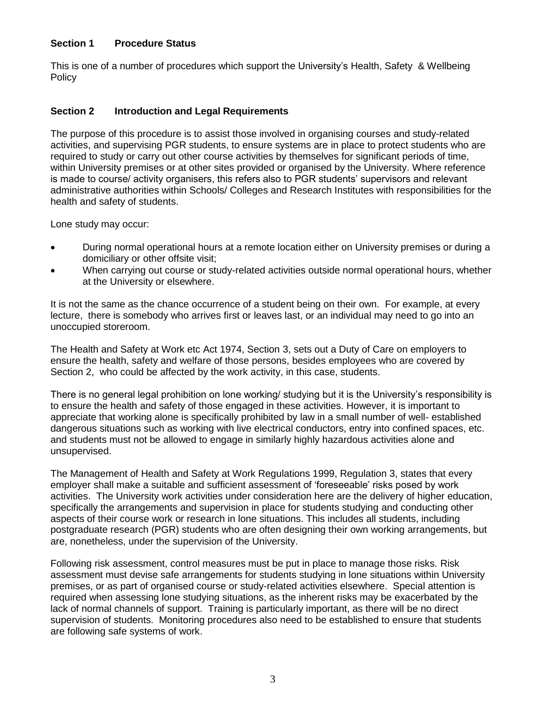#### **Section 1 Procedure Status**

This is one of a number of procedures which support the University's Health, Safety & Wellbeing **Policy** 

#### **Section 2 Introduction and Legal Requirements**

The purpose of this procedure is to assist those involved in organising courses and study-related activities, and supervising PGR students, to ensure systems are in place to protect students who are required to study or carry out other course activities by themselves for significant periods of time, within University premises or at other sites provided or organised by the University. Where reference is made to course/ activity organisers, this refers also to PGR students' supervisors and relevant administrative authorities within Schools/ Colleges and Research Institutes with responsibilities for the health and safety of students.

Lone study may occur:

- During normal operational hours at a remote location either on University premises or during a domiciliary or other offsite visit;
- When carrying out course or study-related activities outside normal operational hours, whether at the University or elsewhere.

It is not the same as the chance occurrence of a student being on their own. For example, at every lecture, there is somebody who arrives first or leaves last, or an individual may need to go into an unoccupied storeroom.

The Health and Safety at Work etc Act 1974, Section 3, sets out a Duty of Care on employers to ensure the health, safety and welfare of those persons, besides employees who are covered by Section 2, who could be affected by the work activity, in this case, students.

There is no general legal prohibition on lone working/ studying but it is the University's responsibility is to ensure the health and safety of those engaged in these activities. However, it is important to appreciate that working alone is specifically prohibited by law in a small number of well- established dangerous situations such as working with live electrical conductors, entry into confined spaces, etc. and students must not be allowed to engage in similarly highly hazardous activities alone and unsupervised.

The Management of Health and Safety at Work Regulations 1999, Regulation 3, states that every employer shall make a suitable and sufficient assessment of 'foreseeable' risks posed by work activities. The University work activities under consideration here are the delivery of higher education, specifically the arrangements and supervision in place for students studying and conducting other aspects of their course work or research in lone situations. This includes all students, including postgraduate research (PGR) students who are often designing their own working arrangements, but are, nonetheless, under the supervision of the University.

Following risk assessment, control measures must be put in place to manage those risks. Risk assessment must devise safe arrangements for students studying in lone situations within University premises, or as part of organised course or study-related activities elsewhere. Special attention is required when assessing lone studying situations, as the inherent risks may be exacerbated by the lack of normal channels of support. Training is particularly important, as there will be no direct supervision of students. Monitoring procedures also need to be established to ensure that students are following safe systems of work.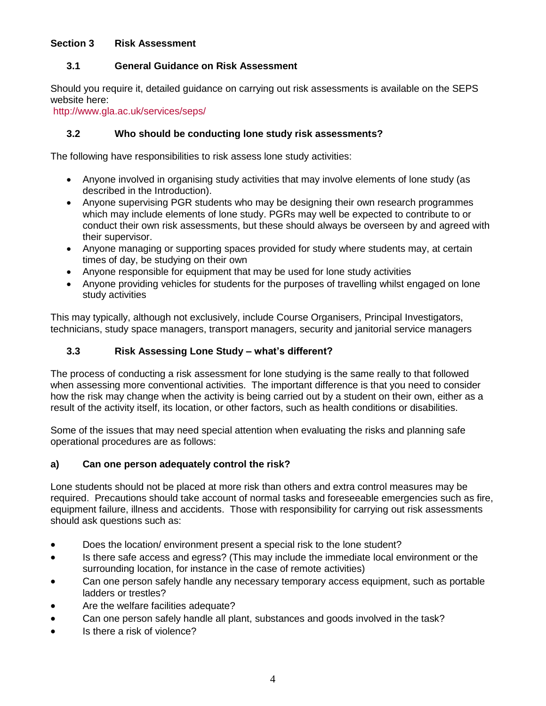#### **Section 3 Risk Assessment**

#### **3.1 General Guidance on Risk Assessment**

Should you require it, detailed guidance on carrying out risk assessments is available on the SEPS website here:

<http://www.gla.ac.uk/services/seps/>

#### **3.2 Who should be conducting lone study risk assessments?**

The following have responsibilities to risk assess lone study activities:

- Anyone involved in organising study activities that may involve elements of lone study (as described in the Introduction).
- Anyone supervising PGR students who may be designing their own research programmes which may include elements of lone study. PGRs may well be expected to contribute to or conduct their own risk assessments, but these should always be overseen by and agreed with their supervisor.
- Anyone managing or supporting spaces provided for study where students may, at certain times of day, be studying on their own
- Anyone responsible for equipment that may be used for lone study activities
- Anyone providing vehicles for students for the purposes of travelling whilst engaged on lone study activities

This may typically, although not exclusively, include Course Organisers, Principal Investigators, technicians, study space managers, transport managers, security and janitorial service managers

## **3.3 Risk Assessing Lone Study – what's different?**

The process of conducting a risk assessment for lone studying is the same really to that followed when assessing more conventional activities. The important difference is that you need to consider how the risk may change when the activity is being carried out by a student on their own, either as a result of the activity itself, its location, or other factors, such as health conditions or disabilities.

Some of the issues that may need special attention when evaluating the risks and planning safe operational procedures are as follows:

#### **a) Can one person adequately control the risk?**

Lone students should not be placed at more risk than others and extra control measures may be required. Precautions should take account of normal tasks and foreseeable emergencies such as fire, equipment failure, illness and accidents. Those with responsibility for carrying out risk assessments should ask questions such as:

- Does the location/ environment present a special risk to the lone student?
- Is there safe access and egress? (This may include the immediate local environment or the surrounding location, for instance in the case of remote activities)
- Can one person safely handle any necessary temporary access equipment, such as portable ladders or trestles?
- Are the welfare facilities adequate?
- Can one person safely handle all plant, substances and goods involved in the task?
- Is there a risk of violence?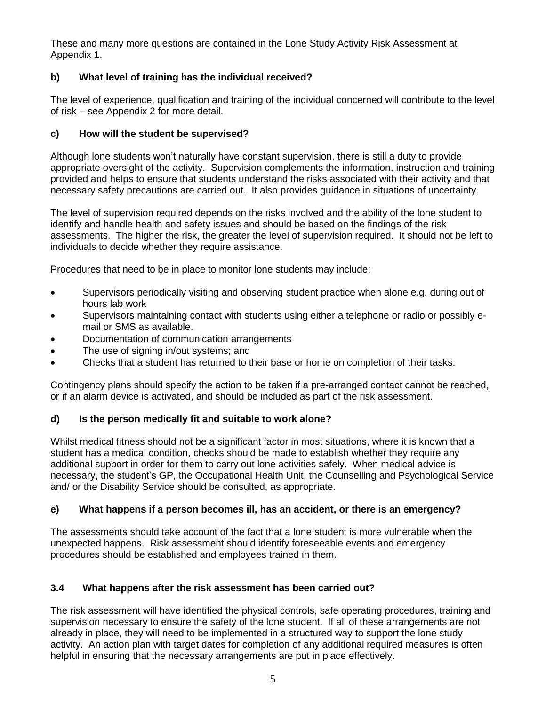These and many more questions are contained in the Lone Study Activity Risk Assessment at Appendix 1.

# **b) What level of training has the individual received?**

The level of experience, qualification and training of the individual concerned will contribute to the level of risk – see Appendix 2 for more detail.

## **c) How will the student be supervised?**

Although lone students won't naturally have constant supervision, there is still a duty to provide appropriate oversight of the activity. Supervision complements the information, instruction and training provided and helps to ensure that students understand the risks associated with their activity and that necessary safety precautions are carried out. It also provides guidance in situations of uncertainty.

The level of supervision required depends on the risks involved and the ability of the lone student to identify and handle health and safety issues and should be based on the findings of the risk assessments. The higher the risk, the greater the level of supervision required. It should not be left to individuals to decide whether they require assistance.

Procedures that need to be in place to monitor lone students may include:

- Supervisors periodically visiting and observing student practice when alone e.g. during out of hours lab work
- Supervisors maintaining contact with students using either a telephone or radio or possibly email or SMS as available.
- Documentation of communication arrangements
- The use of signing in/out systems; and
- Checks that a student has returned to their base or home on completion of their tasks.

Contingency plans should specify the action to be taken if a pre-arranged contact cannot be reached, or if an alarm device is activated, and should be included as part of the risk assessment.

## **d) Is the person medically fit and suitable to work alone?**

Whilst medical fitness should not be a significant factor in most situations, where it is known that a student has a medical condition, checks should be made to establish whether they require any additional support in order for them to carry out lone activities safely. When medical advice is necessary, the student's GP, the Occupational Health Unit, the Counselling and Psychological Service and/ or the Disability Service should be consulted, as appropriate.

## **e) What happens if a person becomes ill, has an accident, or there is an emergency?**

The assessments should take account of the fact that a lone student is more vulnerable when the unexpected happens. Risk assessment should identify foreseeable events and emergency procedures should be established and employees trained in them.

## **3.4 What happens after the risk assessment has been carried out?**

The risk assessment will have identified the physical controls, safe operating procedures, training and supervision necessary to ensure the safety of the lone student. If all of these arrangements are not already in place, they will need to be implemented in a structured way to support the lone study activity. An action plan with target dates for completion of any additional required measures is often helpful in ensuring that the necessary arrangements are put in place effectively.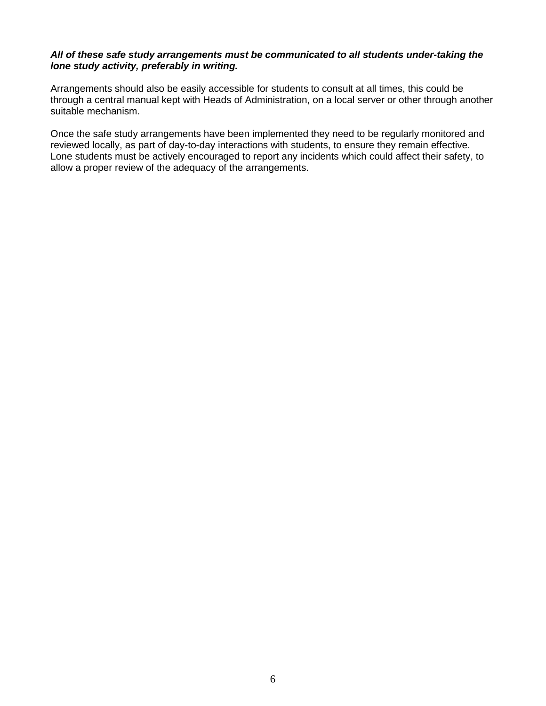#### *All of these safe study arrangements must be communicated to all students under-taking the lone study activity, preferably in writing.*

Arrangements should also be easily accessible for students to consult at all times, this could be through a central manual kept with Heads of Administration, on a local server or other through another suitable mechanism.

Once the safe study arrangements have been implemented they need to be regularly monitored and reviewed locally, as part of day-to-day interactions with students, to ensure they remain effective. Lone students must be actively encouraged to report any incidents which could affect their safety, to allow a proper review of the adequacy of the arrangements.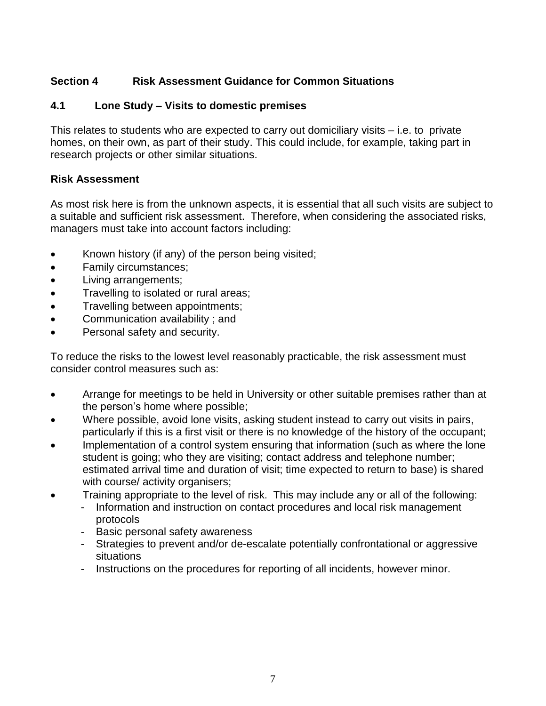# **Section 4 Risk Assessment Guidance for Common Situations**

# **4.1 Lone Study – Visits to domestic premises**

This relates to students who are expected to carry out domiciliary visits – i.e. to private homes, on their own, as part of their study. This could include, for example, taking part in research projects or other similar situations.

# **Risk Assessment**

As most risk here is from the unknown aspects, it is essential that all such visits are subject to a suitable and sufficient risk assessment. Therefore, when considering the associated risks, managers must take into account factors including:

- Known history (if any) of the person being visited;
- Family circumstances;
- Living arrangements;
- Travelling to isolated or rural areas;
- Travelling between appointments;
- Communication availability ; and
- Personal safety and security.

To reduce the risks to the lowest level reasonably practicable, the risk assessment must consider control measures such as:

- Arrange for meetings to be held in University or other suitable premises rather than at the person's home where possible;
- Where possible, avoid lone visits, asking student instead to carry out visits in pairs, particularly if this is a first visit or there is no knowledge of the history of the occupant;
- Implementation of a control system ensuring that information (such as where the lone student is going; who they are visiting; contact address and telephone number; estimated arrival time and duration of visit; time expected to return to base) is shared with course/ activity organisers;
- Training appropriate to the level of risk. This may include any or all of the following:
	- Information and instruction on contact procedures and local risk management protocols
	- Basic personal safety awareness
	- Strategies to prevent and/or de-escalate potentially confrontational or aggressive situations
	- Instructions on the procedures for reporting of all incidents, however minor.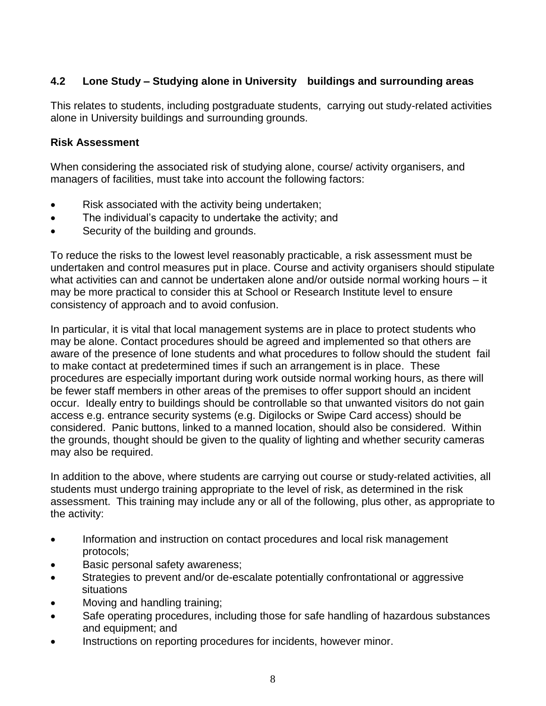# **4.2 Lone Study – Studying alone in University buildings and surrounding areas**

This relates to students, including postgraduate students, carrying out study-related activities alone in University buildings and surrounding grounds.

# **Risk Assessment**

When considering the associated risk of studying alone, course/ activity organisers, and managers of facilities, must take into account the following factors:

- Risk associated with the activity being undertaken;
- The individual's capacity to undertake the activity; and
- Security of the building and grounds.

To reduce the risks to the lowest level reasonably practicable, a risk assessment must be undertaken and control measures put in place. Course and activity organisers should stipulate what activities can and cannot be undertaken alone and/or outside normal working hours – it may be more practical to consider this at School or Research Institute level to ensure consistency of approach and to avoid confusion.

In particular, it is vital that local management systems are in place to protect students who may be alone. Contact procedures should be agreed and implemented so that others are aware of the presence of lone students and what procedures to follow should the student fail to make contact at predetermined times if such an arrangement is in place. These procedures are especially important during work outside normal working hours, as there will be fewer staff members in other areas of the premises to offer support should an incident occur. Ideally entry to buildings should be controllable so that unwanted visitors do not gain access e.g. entrance security systems (e.g. Digilocks or Swipe Card access) should be considered. Panic buttons, linked to a manned location, should also be considered. Within the grounds, thought should be given to the quality of lighting and whether security cameras may also be required.

In addition to the above, where students are carrying out course or study-related activities, all students must undergo training appropriate to the level of risk, as determined in the risk assessment. This training may include any or all of the following, plus other, as appropriate to the activity:

- Information and instruction on contact procedures and local risk management protocols;
- Basic personal safety awareness;
- Strategies to prevent and/or de-escalate potentially confrontational or aggressive situations
- Moving and handling training;
- Safe operating procedures, including those for safe handling of hazardous substances and equipment; and
- Instructions on reporting procedures for incidents, however minor.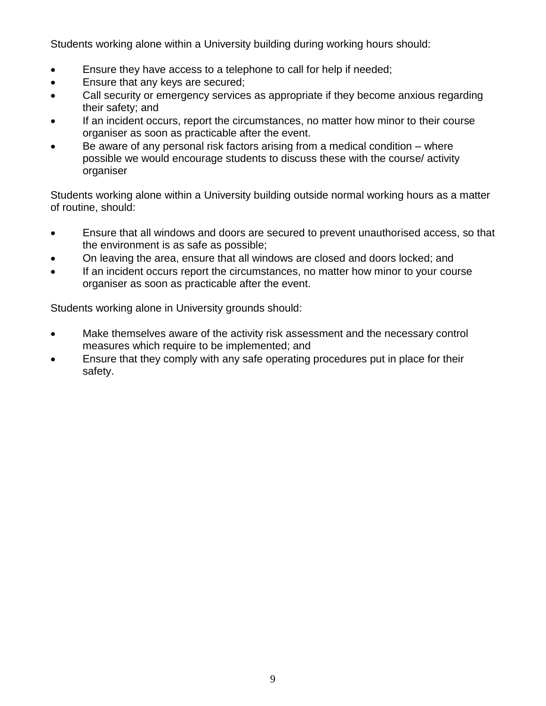Students working alone within a University building during working hours should:

- Ensure they have access to a telephone to call for help if needed;
- Ensure that any keys are secured;
- Call security or emergency services as appropriate if they become anxious regarding their safety; and
- If an incident occurs, report the circumstances, no matter how minor to their course organiser as soon as practicable after the event.
- Be aware of any personal risk factors arising from a medical condition where possible we would encourage students to discuss these with the course/ activity organiser

Students working alone within a University building outside normal working hours as a matter of routine, should:

- Ensure that all windows and doors are secured to prevent unauthorised access, so that the environment is as safe as possible;
- On leaving the area, ensure that all windows are closed and doors locked; and
- If an incident occurs report the circumstances, no matter how minor to your course organiser as soon as practicable after the event.

Students working alone in University grounds should:

- Make themselves aware of the activity risk assessment and the necessary control measures which require to be implemented; and
- Ensure that they comply with any safe operating procedures put in place for their safety.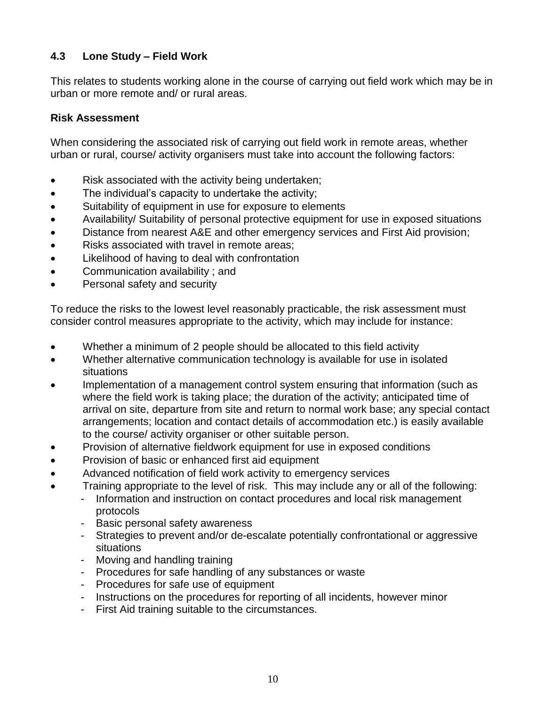# **4.3 Lone Study – Field Work**

This relates to students working alone in the course of carrying out field work which may be in urban or more remote and/ or rural areas.

# **Risk Assessment**

When considering the associated risk of carrying out field work in remote areas, whether urban or rural, course/ activity organisers must take into account the following factors:

- Risk associated with the activity being undertaken;
- The individual's capacity to undertake the activity;
- Suitability of equipment in use for exposure to elements
- Availability/ Suitability of personal protective equipment for use in exposed situations
- Distance from nearest A&E and other emergency services and First Aid provision;
- Risks associated with travel in remote areas;
- Likelihood of having to deal with confrontation
- Communication availability ; and
- Personal safety and security

To reduce the risks to the lowest level reasonably practicable, the risk assessment must consider control measures appropriate to the activity, which may include for instance:

- Whether a minimum of 2 people should be allocated to this field activity
- Whether alternative communication technology is available for use in isolated situations
- Implementation of a management control system ensuring that information (such as where the field work is taking place; the duration of the activity; anticipated time of arrival on site, departure from site and return to normal work base; any special contact arrangements; location and contact details of accommodation etc.) is easily available to the course/ activity organiser or other suitable person.
- Provision of alternative fieldwork equipment for use in exposed conditions
- Provision of basic or enhanced first aid equipment
- Advanced notification of field work activity to emergency services
- Training appropriate to the level of risk. This may include any or all of the following:
	- Information and instruction on contact procedures and local risk management protocols
	- Basic personal safety awareness
	- Strategies to prevent and/or de-escalate potentially confrontational or aggressive situations
	- Moving and handling training
	- Procedures for safe handling of any substances or waste
	- Procedures for safe use of equipment
	- Instructions on the procedures for reporting of all incidents, however minor
	- First Aid training suitable to the circumstances.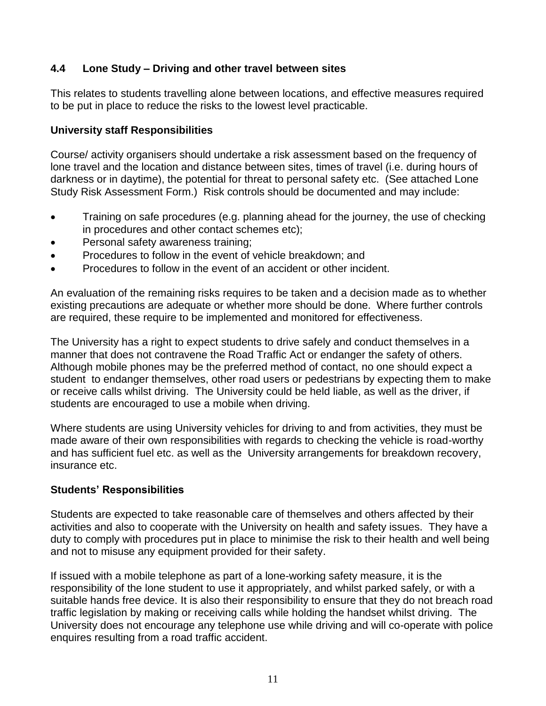# **4.4 Lone Study – Driving and other travel between sites**

This relates to students travelling alone between locations, and effective measures required to be put in place to reduce the risks to the lowest level practicable.

# **University staff Responsibilities**

Course/ activity organisers should undertake a risk assessment based on the frequency of lone travel and the location and distance between sites, times of travel (i.e. during hours of darkness or in daytime), the potential for threat to personal safety etc. (See attached Lone Study Risk Assessment Form.) Risk controls should be documented and may include:

- Training on safe procedures (e.g. planning ahead for the journey, the use of checking in procedures and other contact schemes etc);
- Personal safety awareness training;
- Procedures to follow in the event of vehicle breakdown; and
- Procedures to follow in the event of an accident or other incident.

An evaluation of the remaining risks requires to be taken and a decision made as to whether existing precautions are adequate or whether more should be done. Where further controls are required, these require to be implemented and monitored for effectiveness.

The University has a right to expect students to drive safely and conduct themselves in a manner that does not contravene the Road Traffic Act or endanger the safety of others. Although mobile phones may be the preferred method of contact, no one should expect a student to endanger themselves, other road users or pedestrians by expecting them to make or receive calls whilst driving. The University could be held liable, as well as the driver, if students are encouraged to use a mobile when driving.

Where students are using University vehicles for driving to and from activities, they must be made aware of their own responsibilities with regards to checking the vehicle is road-worthy and has sufficient fuel etc. as well as the University arrangements for breakdown recovery, insurance etc.

# **Students' Responsibilities**

Students are expected to take reasonable care of themselves and others affected by their activities and also to cooperate with the University on health and safety issues. They have a duty to comply with procedures put in place to minimise the risk to their health and well being and not to misuse any equipment provided for their safety.

If issued with a mobile telephone as part of a lone-working safety measure, it is the responsibility of the lone student to use it appropriately, and whilst parked safely, or with a suitable hands free device. It is also their responsibility to ensure that they do not breach road traffic legislation by making or receiving calls while holding the handset whilst driving. The University does not encourage any telephone use while driving and will co-operate with police enquires resulting from a road traffic accident.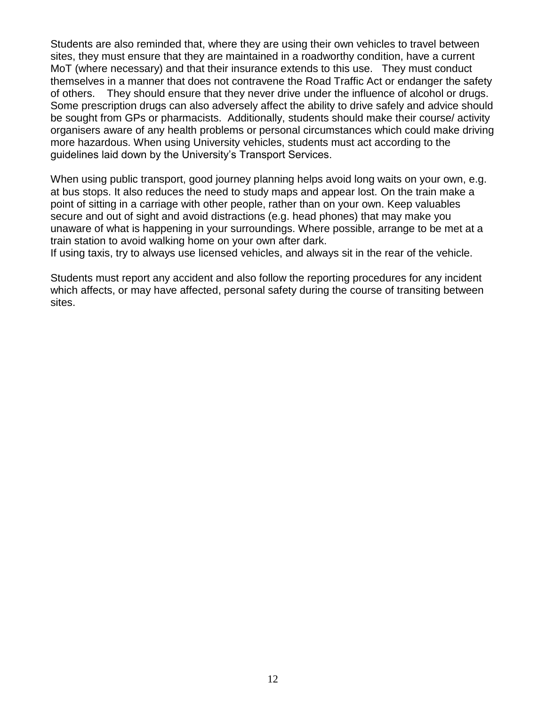Students are also reminded that, where they are using their own vehicles to travel between sites, they must ensure that they are maintained in a roadworthy condition, have a current MoT (where necessary) and that their insurance extends to this use. They must conduct themselves in a manner that does not contravene the Road Traffic Act or endanger the safety of others. They should ensure that they never drive under the influence of alcohol or drugs. Some prescription drugs can also adversely affect the ability to drive safely and advice should be sought from GPs or pharmacists. Additionally, students should make their course/ activity organisers aware of any health problems or personal circumstances which could make driving more hazardous. When using University vehicles, students must act according to the guidelines laid down by the University's Transport Services.

When using public transport, good journey planning helps avoid long waits on your own, e.g. at bus stops. It also reduces the need to study maps and appear lost. On the train make a point of sitting in a carriage with other people, rather than on your own. Keep valuables secure and out of sight and avoid distractions (e.g. head phones) that may make you unaware of what is happening in your surroundings. Where possible, arrange to be met at a train station to avoid walking home on your own after dark.

If using taxis, try to always use licensed vehicles, and always sit in the rear of the vehicle.

Students must report any accident and also follow the reporting procedures for any incident which affects, or may have affected, personal safety during the course of transiting between sites.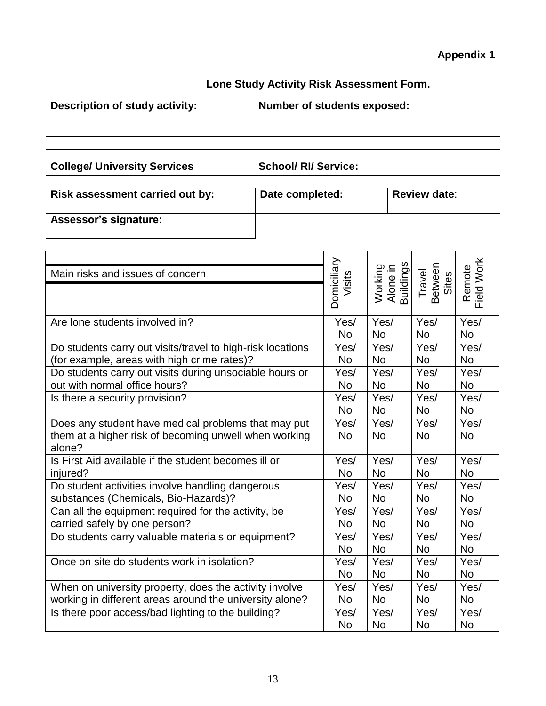# **Appendix 1**

# **Lone Study Activity Risk Assessment Form.**

| <b>Description of study activity:</b> | Number of students exposed: |
|---------------------------------------|-----------------------------|
|                                       |                             |

College/ University Services **Supervice:** School/ RI/ Service:

| Risk assessment carried out by: | Date completed: | <b>Review date:</b> |
|---------------------------------|-----------------|---------------------|
| Assessor's signature:           |                 |                     |

| Main risks and issues of concern                           | Domiciliary<br>Visits | Working<br>Alone in<br>Buildings | Between<br>Sites<br>Travel | Field Work<br>Remote |
|------------------------------------------------------------|-----------------------|----------------------------------|----------------------------|----------------------|
|                                                            |                       |                                  |                            |                      |
| Are lone students involved in?                             | Yes/                  | Yes/                             | Yes/                       | Yes/                 |
|                                                            | <b>No</b>             | <b>No</b>                        | <b>No</b>                  | <b>No</b>            |
| Do students carry out visits/travel to high-risk locations | Yes/                  | Yes/                             | Yes/                       | Yes/                 |
| (for example, areas with high crime rates)?                | No.                   | <b>No</b>                        | <b>No</b>                  | <b>No</b>            |
| Do students carry out visits during unsociable hours or    | Yes/                  | Yes/                             | Yes/                       | Yes/                 |
| out with normal office hours?                              | No.                   | <b>No</b>                        | <b>No</b>                  | <b>No</b>            |
| Is there a security provision?                             | Yes/                  | Yes/                             | Yes/                       | Yes/                 |
|                                                            | <b>No</b>             | <b>No</b>                        | <b>No</b>                  | <b>No</b>            |
| Does any student have medical problems that may put        | Yes/                  | Yes/                             | Yes/                       | Yes/                 |
| them at a higher risk of becoming unwell when working      | <b>No</b>             | <b>No</b>                        | <b>No</b>                  | <b>No</b>            |
| alone?                                                     |                       |                                  |                            |                      |
| Is First Aid available if the student becomes ill or       | Yes/                  | Yes/                             | Yes/                       | Yes/                 |
| injured?                                                   | <b>No</b>             | <b>No</b>                        | <b>No</b>                  | <b>No</b>            |
| Do student activities involve handling dangerous           | Yes/                  | Yes/                             | Yes/                       | Yes/                 |
| substances (Chemicals, Bio-Hazards)?                       | No.                   | <b>No</b>                        | <b>No</b>                  | <b>No</b>            |
| Can all the equipment required for the activity, be        | Yes/                  | Yes/                             | Yes/                       | Yes/                 |
| carried safely by one person?                              | <b>No</b>             | <b>No</b>                        | <b>No</b>                  | <b>No</b>            |
| Do students carry valuable materials or equipment?         | Yes/                  | Yes/                             | Yes/                       | Yes/                 |
|                                                            | No.                   | <b>No</b>                        | <b>No</b>                  | <b>No</b>            |
| Once on site do students work in isolation?                | Yes/                  | Yes/                             | Yes/                       | Yes/                 |
|                                                            | No.                   | <b>No</b>                        | <b>No</b>                  | <b>No</b>            |
| When on university property, does the activity involve     | Yes/                  | Yes/                             | Yes/                       | Yes/                 |
| working in different areas around the university alone?    | No.                   | <b>No</b>                        | <b>No</b>                  | <b>No</b>            |
| Is there poor access/bad lighting to the building?         | Yes/                  | Yes/                             | Yes/                       | Yes/                 |
|                                                            | <b>No</b>             | <b>No</b>                        | <b>No</b>                  | <b>No</b>            |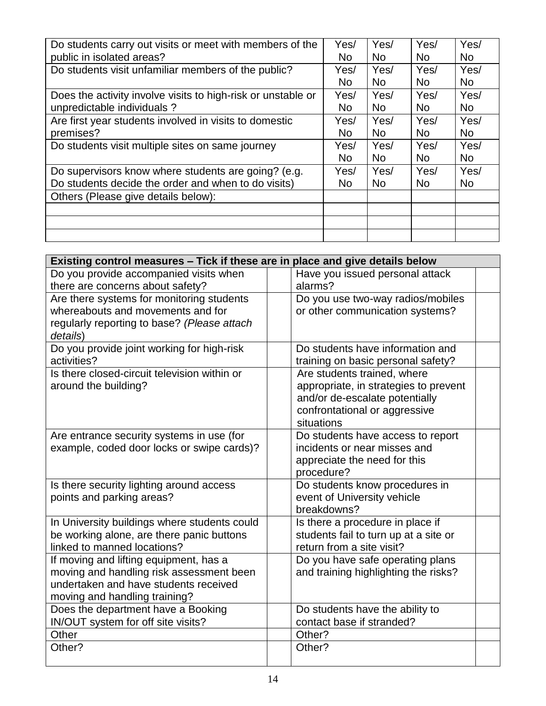| Do students carry out visits or meet with members of the     | Yes/      | Yes/      | Yes/      | Yes/      |
|--------------------------------------------------------------|-----------|-----------|-----------|-----------|
| public in isolated areas?                                    | No        | <b>No</b> | <b>No</b> | <b>No</b> |
| Do students visit unfamiliar members of the public?          | Yes/      | Yes/      | Yes/      | Yes/      |
|                                                              | No.       | <b>No</b> | <b>No</b> | <b>No</b> |
| Does the activity involve visits to high-risk or unstable or | Yes/      | Yes/      | Yes/      | Yes/      |
| unpredictable individuals?                                   | <b>No</b> | <b>No</b> | <b>No</b> | <b>No</b> |
| Are first year students involved in visits to domestic       | Yes/      | Yes/      | Yes/      | Yes/      |
| premises?                                                    | No.       | <b>No</b> | <b>No</b> | <b>No</b> |
| Do students visit multiple sites on same journey             | Yes/      | Yes/      | Yes/      | Yes/      |
|                                                              | No.       | <b>No</b> | <b>No</b> | <b>No</b> |
| Do supervisors know where students are going? (e.g.          | Yes/      | Yes/      | Yes/      | Yes/      |
| Do students decide the order and when to do visits)          | No.       | <b>No</b> | <b>No</b> | <b>No</b> |
| Others (Please give details below):                          |           |           |           |           |
|                                                              |           |           |           |           |
|                                                              |           |           |           |           |
|                                                              |           |           |           |           |

| Existing control measures – Tick if these are in place and give details below     |                                                                    |  |  |
|-----------------------------------------------------------------------------------|--------------------------------------------------------------------|--|--|
| Do you provide accompanied visits when                                            | Have you issued personal attack                                    |  |  |
| there are concerns about safety?                                                  | alarms?                                                            |  |  |
| Are there systems for monitoring students                                         | Do you use two-way radios/mobiles                                  |  |  |
| whereabouts and movements and for                                                 | or other communication systems?                                    |  |  |
| regularly reporting to base? (Please attach                                       |                                                                    |  |  |
| details)                                                                          |                                                                    |  |  |
| Do you provide joint working for high-risk                                        | Do students have information and                                   |  |  |
| activities?                                                                       | training on basic personal safety?                                 |  |  |
| Is there closed-circuit television within or                                      | Are students trained, where                                        |  |  |
| around the building?                                                              | appropriate, in strategies to prevent                              |  |  |
|                                                                                   | and/or de-escalate potentially                                     |  |  |
|                                                                                   | confrontational or aggressive                                      |  |  |
|                                                                                   | situations                                                         |  |  |
| Are entrance security systems in use (for                                         | Do students have access to report                                  |  |  |
| example, coded door locks or swipe cards)?                                        | incidents or near misses and                                       |  |  |
|                                                                                   | appreciate the need for this                                       |  |  |
|                                                                                   | procedure?                                                         |  |  |
| Is there security lighting around access                                          | Do students know procedures in                                     |  |  |
| points and parking areas?                                                         | event of University vehicle                                        |  |  |
|                                                                                   | breakdowns?                                                        |  |  |
| In University buildings where students could                                      | Is there a procedure in place if                                   |  |  |
| be working alone, are there panic buttons<br>linked to manned locations?          | students fail to turn up at a site or<br>return from a site visit? |  |  |
|                                                                                   |                                                                    |  |  |
| If moving and lifting equipment, has a                                            | Do you have safe operating plans                                   |  |  |
| moving and handling risk assessment been<br>undertaken and have students received | and training highlighting the risks?                               |  |  |
| moving and handling training?                                                     |                                                                    |  |  |
| Does the department have a Booking                                                |                                                                    |  |  |
| IN/OUT system for off site visits?                                                | Do students have the ability to<br>contact base if stranded?       |  |  |
| Other                                                                             | Other?                                                             |  |  |
| Other?                                                                            | Other?                                                             |  |  |
|                                                                                   |                                                                    |  |  |
|                                                                                   |                                                                    |  |  |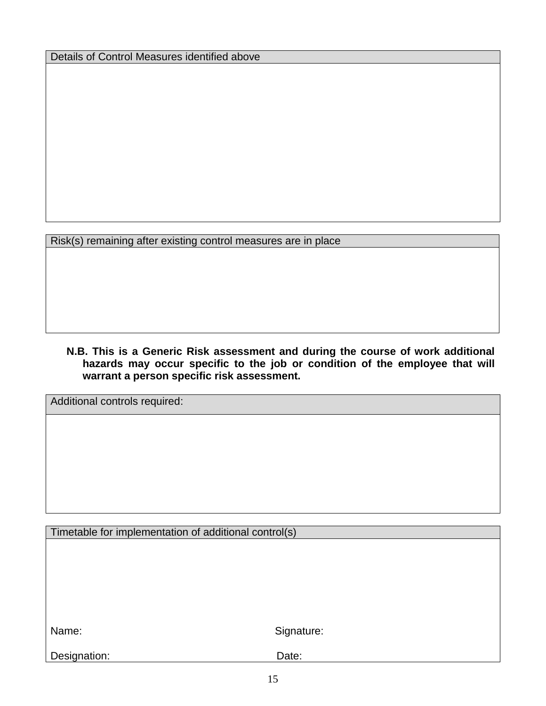Details of Control Measures identified above

Risk(s) remaining after existing control measures are in place

**N.B. This is a Generic Risk assessment and during the course of work additional hazards may occur specific to the job or condition of the employee that will warrant a person specific risk assessment.** 

Additional controls required:

Timetable for implementation of additional control(s)

Name: Signature:

Designation: Date: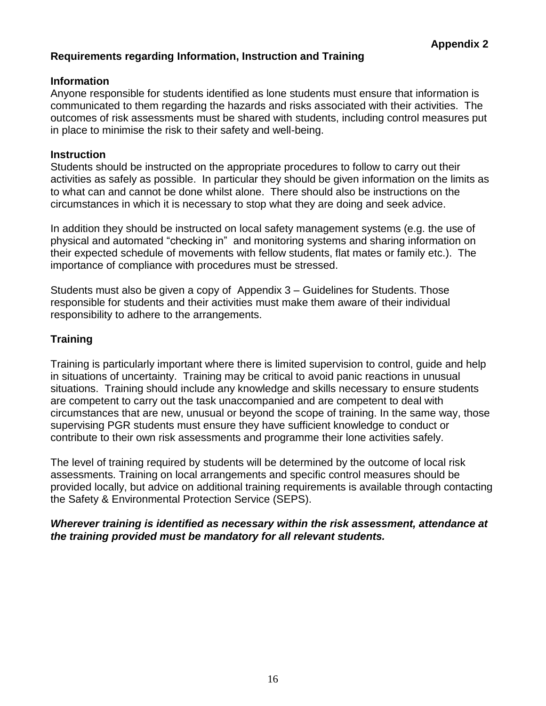# **Requirements regarding Information, Instruction and Training**

## **Information**

Anyone responsible for students identified as lone students must ensure that information is communicated to them regarding the hazards and risks associated with their activities. The outcomes of risk assessments must be shared with students, including control measures put in place to minimise the risk to their safety and well-being.

## **Instruction**

Students should be instructed on the appropriate procedures to follow to carry out their activities as safely as possible. In particular they should be given information on the limits as to what can and cannot be done whilst alone. There should also be instructions on the circumstances in which it is necessary to stop what they are doing and seek advice.

In addition they should be instructed on local safety management systems (e.g. the use of physical and automated "checking in" and monitoring systems and sharing information on their expected schedule of movements with fellow students, flat mates or family etc.). The importance of compliance with procedures must be stressed.

Students must also be given a copy of Appendix 3 – Guidelines for Students. Those responsible for students and their activities must make them aware of their individual responsibility to adhere to the arrangements.

# **Training**

Training is particularly important where there is limited supervision to control, guide and help in situations of uncertainty. Training may be critical to avoid panic reactions in unusual situations. Training should include any knowledge and skills necessary to ensure students are competent to carry out the task unaccompanied and are competent to deal with circumstances that are new, unusual or beyond the scope of training. In the same way, those supervising PGR students must ensure they have sufficient knowledge to conduct or contribute to their own risk assessments and programme their lone activities safely.

The level of training required by students will be determined by the outcome of local risk assessments. Training on local arrangements and specific control measures should be provided locally, but advice on additional training requirements is available through contacting the Safety & Environmental Protection Service (SEPS).

## *Wherever training is identified as necessary within the risk assessment, attendance at the training provided must be mandatory for all relevant students.*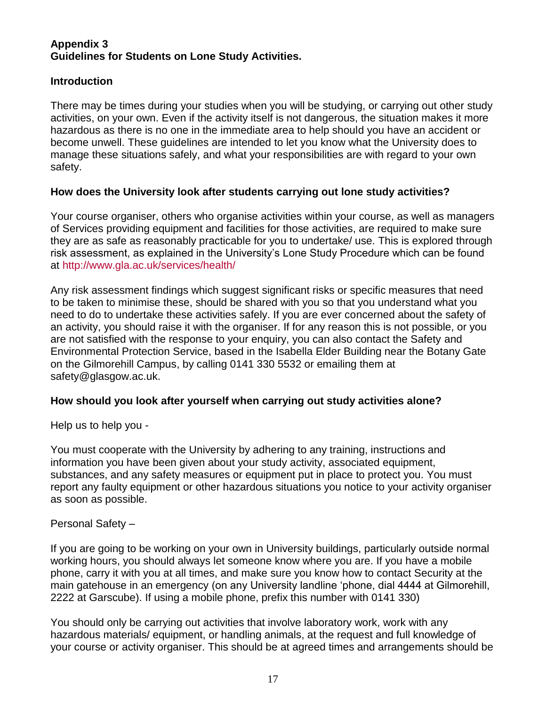## **Appendix 3 Guidelines for Students on Lone Study Activities.**

# **Introduction**

There may be times during your studies when you will be studying, or carrying out other study activities, on your own. Even if the activity itself is not dangerous, the situation makes it more hazardous as there is no one in the immediate area to help should you have an accident or become unwell. These guidelines are intended to let you know what the University does to manage these situations safely, and what your responsibilities are with regard to your own safety.

# **How does the University look after students carrying out lone study activities?**

Your course organiser, others who organise activities within your course, as well as managers of Services providing equipment and facilities for those activities, are required to make sure they are as safe as reasonably practicable for you to undertake/ use. This is explored through risk assessment, as explained in the University's Lone Study Procedure which can be found at<http://www.gla.ac.uk/services/health/>

Any risk assessment findings which suggest significant risks or specific measures that need to be taken to minimise these, should be shared with you so that you understand what you need to do to undertake these activities safely. If you are ever concerned about the safety of an activity, you should raise it with the organiser. If for any reason this is not possible, or you are not satisfied with the response to your enquiry, you can also contact the Safety and Environmental Protection Service, based in the Isabella Elder Building near the Botany Gate on the Gilmorehill Campus, by calling 0141 330 5532 or emailing them at safety@glasgow.ac.uk.

# **How should you look after yourself when carrying out study activities alone?**

Help us to help you -

You must cooperate with the University by adhering to any training, instructions and information you have been given about your study activity, associated equipment, substances, and any safety measures or equipment put in place to protect you. You must report any faulty equipment or other hazardous situations you notice to your activity organiser as soon as possible.

## Personal Safety –

If you are going to be working on your own in University buildings, particularly outside normal working hours, you should always let someone know where you are. If you have a mobile phone, carry it with you at all times, and make sure you know how to contact Security at the main gatehouse in an emergency (on any University landline 'phone, dial 4444 at Gilmorehill, 2222 at Garscube). If using a mobile phone, prefix this number with 0141 330)

You should only be carrying out activities that involve laboratory work, work with any hazardous materials/ equipment, or handling animals, at the request and full knowledge of your course or activity organiser. This should be at agreed times and arrangements should be